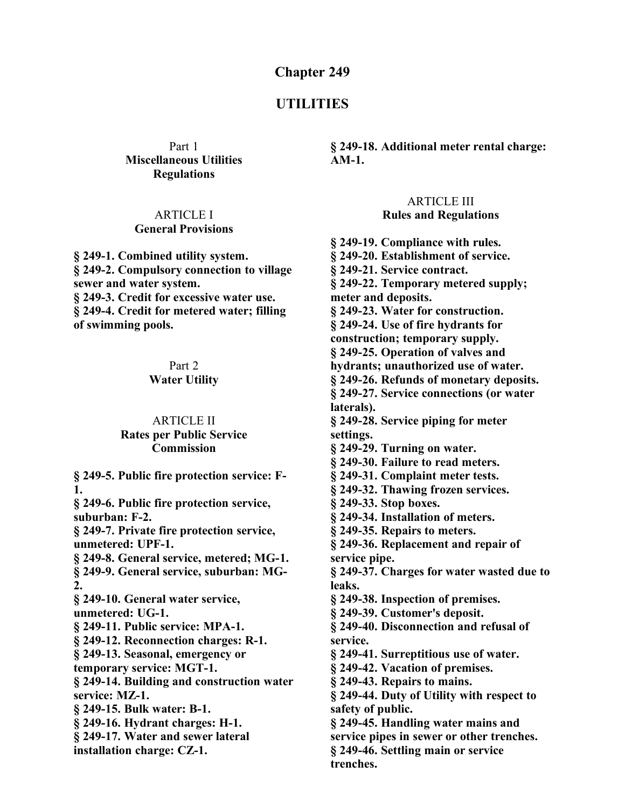#### **Chapter 249**

### **UTILITIES**

Part 1 **Miscellaneous Utilities Regulations**

#### ARTICLE I **General Provisions**

**§ 249-1. Combined utility system. § 249-2. Compulsory connection to village sewer and water system. § 249-3. Credit for excessive water use. § 249-4. Credit for metered water; filling of swimming pools.**

> Part 2 **Water Utility**

## ARTICLE II **Rates per Public Service**

**Commission**

**§ 249-5. Public fire protection service: F-1. § 249-6. Public fire protection service, suburban: F-2. § 249-7. Private fire protection service, unmetered: UPF-1. § 249-8. General service, metered; MG-1. § 249-9. General service, suburban: MG-2. § 249-10. General water service, unmetered: UG-1. § 249-11. Public service: MPA-1. § 249-12. Reconnection charges: R-1. § 249-13. Seasonal, emergency or temporary service: MGT-1. § 249-14. Building and construction water service: MZ-1. § 249-15. Bulk water: B-1. § 249-16. Hydrant charges: H-1. § 249-17. Water and sewer lateral installation charge: CZ-1.**

**§ 249-18. Additional meter rental charge: AM-1.**

#### ARTICLE III **Rules and Regulations**

**§ 249-19. Compliance with rules. § 249-20. Establishment of service. § 249-21. Service contract. § 249-22. Temporary metered supply; meter and deposits. § 249-23. Water for construction. § 249-24. Use of fire hydrants for construction; temporary supply. § 249-25. Operation of valves and hydrants; unauthorized use of water. § 249-26. Refunds of monetary deposits. § 249-27. Service connections (or water laterals). § 249-28. Service piping for meter settings. § 249-29. Turning on water. § 249-30. Failure to read meters. § 249-31. Complaint meter tests. § 249-32. Thawing frozen services. § 249-33. Stop boxes. § 249-34. Installation of meters. § 249-35. Repairs to meters. § 249-36. Replacement and repair of service pipe. § 249-37. Charges for water wasted due to leaks. § 249-38. Inspection of premises. § 249-39. Customer's deposit. § 249-40. Disconnection and refusal of service. § 249-41. Surreptitious use of water. § 249-42. Vacation of premises. § 249-43. Repairs to mains. § 249-44. Duty of Utility with respect to safety of public. § 249-45. Handling water mains and service pipes in sewer or other trenches. § 249-46. Settling main or service trenches.**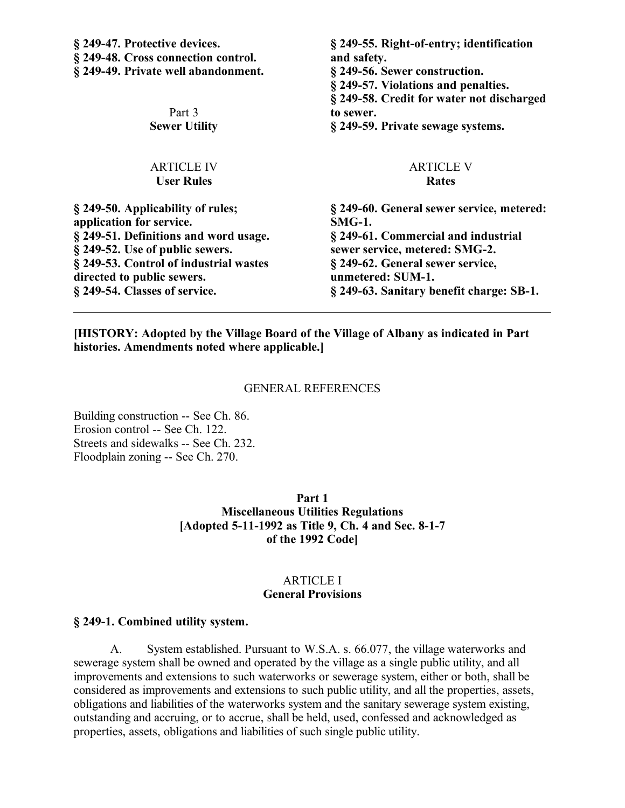| § 249-47. Protective devices.<br>§ 249-48. Cross connection control.<br>§ 249-49. Private well abandonment. | § 249-55. Right-of-entry; identification<br>and safety.<br>§ 249-56. Sewer construction.<br>§ 249-57. Violations and penalties.<br>§ 249-58. Credit for water not discharged |
|-------------------------------------------------------------------------------------------------------------|------------------------------------------------------------------------------------------------------------------------------------------------------------------------------|
| Part 3                                                                                                      | to sewer.                                                                                                                                                                    |
| <b>Sewer Utility</b>                                                                                        | § 249-59. Private sewage systems.                                                                                                                                            |
| <b>ARTICLE IV</b>                                                                                           | <b>ARTICLE V</b>                                                                                                                                                             |
| <b>User Rules</b>                                                                                           | <b>Rates</b>                                                                                                                                                                 |
| § 249-50. Applicability of rules;<br>application for service.                                               | § 249-60. General sewer service, metered:<br>$SMG-1.$                                                                                                                        |
| § 249-51. Definitions and word usage.                                                                       | § 249-61. Commercial and industrial                                                                                                                                          |
| § 249-52. Use of public sewers.                                                                             | sewer service, metered: SMG-2.                                                                                                                                               |
| § 249-53. Control of industrial wastes                                                                      | § 249-62. General sewer service,                                                                                                                                             |
| directed to public sewers.                                                                                  | unmetered: SUM-1.                                                                                                                                                            |
| § 249-54. Classes of service.                                                                               | § 249-63. Sanitary benefit charge: SB-1.                                                                                                                                     |

**[HISTORY: Adopted by the Village Board of the Village of Albany as indicated in Part histories. Amendments noted where applicable.]**

#### GENERAL REFERENCES

Building construction -- See Ch. 86. Erosion control -- See Ch. 122. Streets and sidewalks -- See Ch. 232. Floodplain zoning -- See Ch. 270.

> **Part 1 Miscellaneous Utilities Regulations [Adopted 5-11-1992 as Title 9, Ch. 4 and Sec. 8-1-7 of the 1992 Code]**

#### ARTICLE I **General Provisions**

#### **§ 249-1. Combined utility system.**

A. System established. Pursuant to W.S.A. s. 66.077, the village waterworks and sewerage system shall be owned and operated by the village as a single public utility, and all improvements and extensions to such waterworks or sewerage system, either or both, shall be considered as improvements and extensions to such public utility, and all the properties, assets, obligations and liabilities of the waterworks system and the sanitary sewerage system existing, outstanding and accruing, or to accrue, shall be held, used, confessed and acknowledged as properties, assets, obligations and liabilities of such single public utility.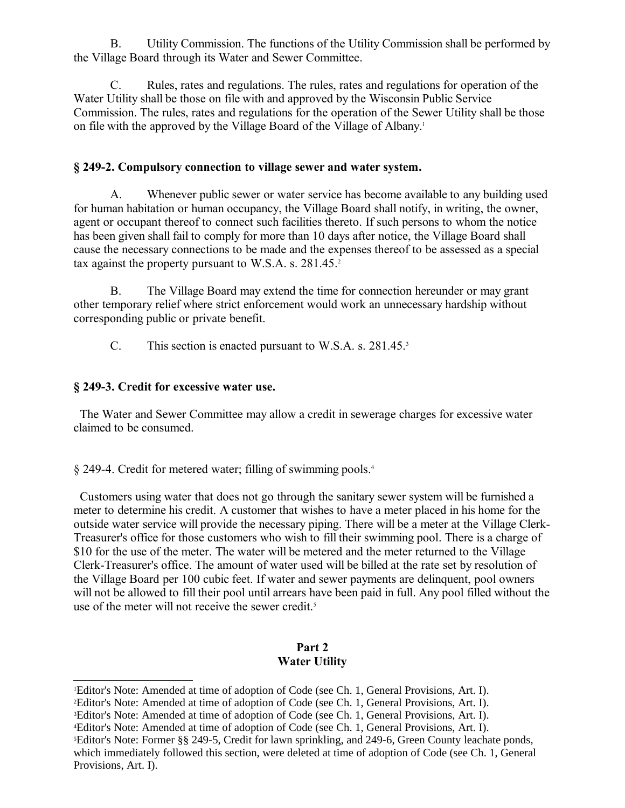B. Utility Commission. The functions of the Utility Commission shall be performed by the Village Board through its Water and Sewer Committee.

C. Rules, rates and regulations. The rules, rates and regulations for operation of the Water Utility shall be those on file with and approved by the Wisconsin Public Service Commission. The rules, rates and regulations for the operation of the Sewer Utility shall be those on file with the approved by the Village Board of the Village of Albany.[1](#page-2-0)

### **§ 249-2. Compulsory connection to village sewer and water system.**

A. Whenever public sewer or water service has become available to any building used for human habitation or human occupancy, the Village Board shall notify, in writing, the owner, agent or occupant thereof to connect such facilities thereto. If such persons to whom the notice has been given shall fail to comply for more than 10 days after notice, the Village Board shall cause the necessary connections to be made and the expenses thereof to be assessed as a special tax against the property pursuant to W.S.A. s. [2](#page-2-1)81.45.<sup>2</sup>

B. The Village Board may extend the time for connection hereunder or may grant other temporary relief where strict enforcement would work an unnecessary hardship without corresponding public or private benefit.

C. This section is enacted pursuant to W.S.A. s. 281.45.[3](#page-2-2)

## **§ 249-3. Credit for excessive water use.**

 The Water and Sewer Committee may allow a credit in sewerage charges for excessive water claimed to be consumed.

§ 249-4. Credit for metered water; filling of swimming pools.[4](#page-2-3)

 Customers using water that does not go through the sanitary sewer system will be furnished a meter to determine his credit. A customer that wishes to have a meter placed in his home for the outside water service will provide the necessary piping. There will be a meter at the Village Clerk-Treasurer's office for those customers who wish to fill their swimming pool. There is a charge of \$10 for the use of the meter. The water will be metered and the meter returned to the Village Clerk-Treasurer's office. The amount of water used will be billed at the rate set by resolution of the Village Board per 100 cubic feet. If water and sewer payments are delinquent, pool owners will not be allowed to fill their pool until arrears have been paid in full. Any pool filled without the use of the meter will not receive the sewer credit.<sup>[5](#page-2-4)</sup>

## **Part 2 Water Utility**

<span id="page-2-0"></span><sup>&</sup>lt;sup>1</sup>Editor's Note: Amended at time of adoption of Code (see Ch. 1, General Provisions, Art. I).

<span id="page-2-1"></span><sup>2</sup>Editor's Note: Amended at time of adoption of Code (see Ch. 1, General Provisions, Art. I).

<span id="page-2-2"></span><sup>&</sup>lt;sup>3</sup>Editor's Note: Amended at time of adoption of Code (see Ch. 1, General Provisions, Art. I).

<span id="page-2-3"></span><sup>4</sup>Editor's Note: Amended at time of adoption of Code (see Ch. 1, General Provisions, Art. I).

<span id="page-2-4"></span><sup>5</sup>Editor's Note: Former §§ 249-5, Credit for lawn sprinkling, and 249-6, Green County leachate ponds, which immediately followed this section, were deleted at time of adoption of Code (see Ch. 1, General Provisions, Art. I).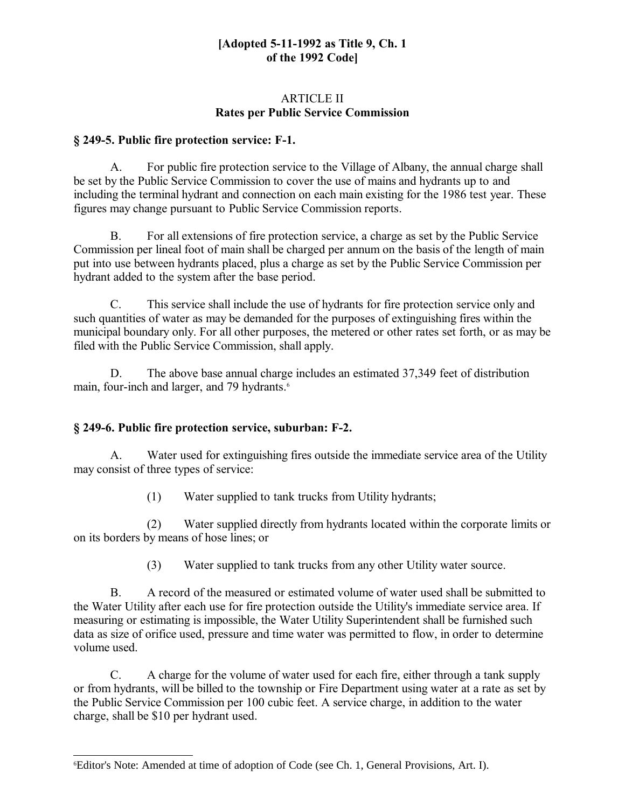### **[Adopted 5-11-1992 as Title 9, Ch. 1 of the 1992 Code]**

### ARTICLE II **Rates per Public Service Commission**

## **§ 249-5. Public fire protection service: F-1.**

A. For public fire protection service to the Village of Albany, the annual charge shall be set by the Public Service Commission to cover the use of mains and hydrants up to and including the terminal hydrant and connection on each main existing for the 1986 test year. These figures may change pursuant to Public Service Commission reports.

B. For all extensions of fire protection service, a charge as set by the Public Service Commission per lineal foot of main shall be charged per annum on the basis of the length of main put into use between hydrants placed, plus a charge as set by the Public Service Commission per hydrant added to the system after the base period.

C. This service shall include the use of hydrants for fire protection service only and such quantities of water as may be demanded for the purposes of extinguishing fires within the municipal boundary only. For all other purposes, the metered or other rates set forth, or as may be filed with the Public Service Commission, shall apply.

D. The above base annual charge includes an estimated 37,349 feet of distribution main, four-inch and larger, and 79 hydrants.<sup>[6](#page-3-0)</sup>

## **§ 249-6. Public fire protection service, suburban: F-2.**

A. Water used for extinguishing fires outside the immediate service area of the Utility may consist of three types of service:

(1) Water supplied to tank trucks from Utility hydrants;

(2) Water supplied directly from hydrants located within the corporate limits or on its borders by means of hose lines; or

(3) Water supplied to tank trucks from any other Utility water source.

B. A record of the measured or estimated volume of water used shall be submitted to the Water Utility after each use for fire protection outside the Utility's immediate service area. If measuring or estimating is impossible, the Water Utility Superintendent shall be furnished such data as size of orifice used, pressure and time water was permitted to flow, in order to determine volume used.

C. A charge for the volume of water used for each fire, either through a tank supply or from hydrants, will be billed to the township or Fire Department using water at a rate as set by the Public Service Commission per 100 cubic feet. A service charge, in addition to the water charge, shall be \$10 per hydrant used.

<span id="page-3-0"></span><sup>6</sup>Editor's Note: Amended at time of adoption of Code (see Ch. 1, General Provisions, Art. I).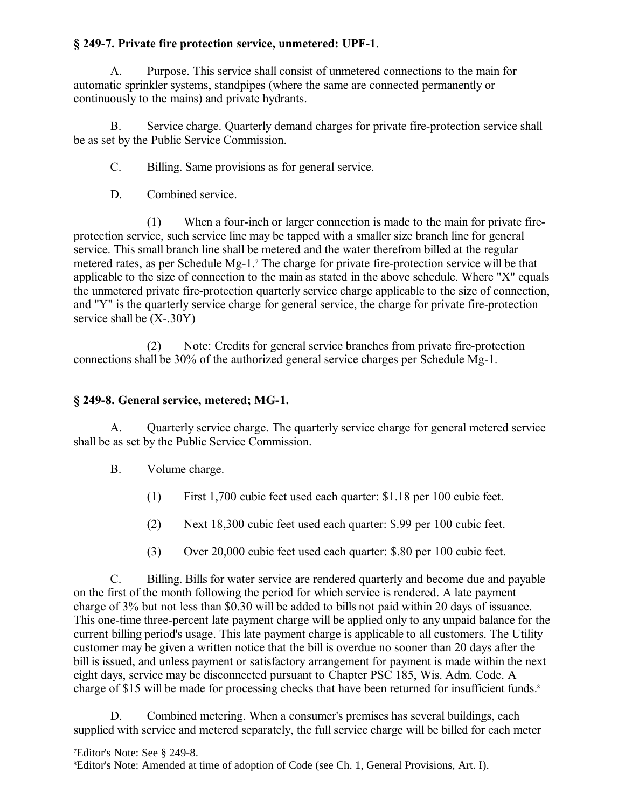## **§ 249-7. Private fire protection service, unmetered: UPF-1**.

A. Purpose. This service shall consist of unmetered connections to the main for automatic sprinkler systems, standpipes (where the same are connected permanently or continuously to the mains) and private hydrants.

B. Service charge. Quarterly demand charges for private fire-protection service shall be as set by the Public Service Commission.

C. Billing. Same provisions as for general service.

D. Combined service.

(1) When a four-inch or larger connection is made to the main for private fireprotection service, such service line may be tapped with a smaller size branch line for general service. This small branch line shall be metered and the water therefrom billed at the regular metered rates, as per Schedule Mg-1.<sup>[7](#page-4-0)</sup> The charge for private fire-protection service will be that applicable to the size of connection to the main as stated in the above schedule. Where "X" equals the unmetered private fire-protection quarterly service charge applicable to the size of connection, and "Y" is the quarterly service charge for general service, the charge for private fire-protection service shall be (X-.30Y)

(2) Note: Credits for general service branches from private fire-protection connections shall be 30% of the authorized general service charges per Schedule Mg-1.

# **§ 249-8. General service, metered; MG-1.**

A. Quarterly service charge. The quarterly service charge for general metered service shall be as set by the Public Service Commission.

- B. Volume charge.
	- (1) First 1,700 cubic feet used each quarter: \$1.18 per 100 cubic feet.
	- (2) Next 18,300 cubic feet used each quarter: \$.99 per 100 cubic feet.
	- (3) Over 20,000 cubic feet used each quarter: \$.80 per 100 cubic feet.

C. Billing. Bills for water service are rendered quarterly and become due and payable on the first of the month following the period for which service is rendered. A late payment charge of 3% but not less than \$0.30 will be added to bills not paid within 20 days of issuance. This one-time three-percent late payment charge will be applied only to any unpaid balance for the current billing period's usage. This late payment charge is applicable to all customers. The Utility customer may be given a written notice that the bill is overdue no sooner than 20 days after the bill is issued, and unless payment or satisfactory arrangement for payment is made within the next eight days, service may be disconnected pursuant to Chapter PSC 185, Wis. Adm. Code. A charge of \$15 will be made for processing checks that have been returned for insufficient funds.<sup>[8](#page-4-1)</sup>

D. Combined metering. When a consumer's premises has several buildings, each supplied with service and metered separately, the full service charge will be billed for each meter

<span id="page-4-0"></span><sup>7</sup>Editor's Note: See § 249-8.

<span id="page-4-1"></span><sup>8</sup>Editor's Note: Amended at time of adoption of Code (see Ch. 1, General Provisions, Art. I).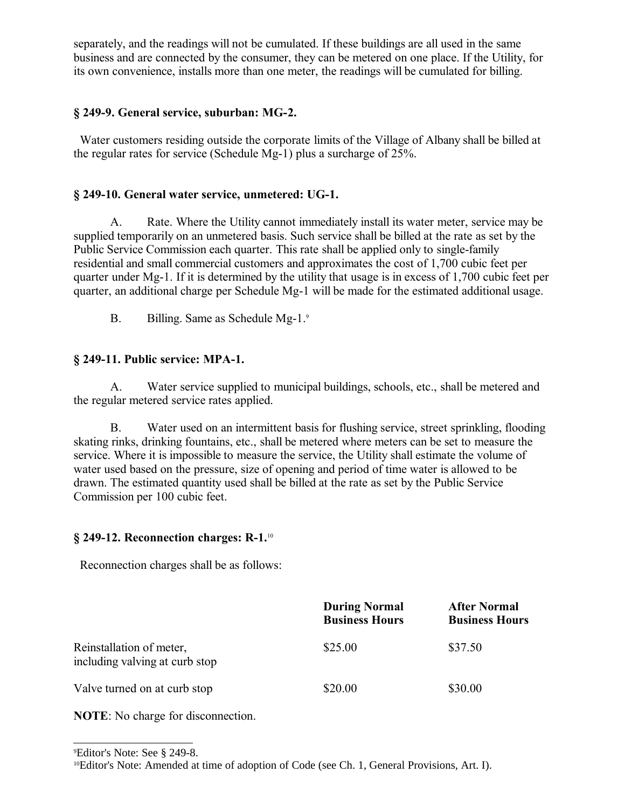separately, and the readings will not be cumulated. If these buildings are all used in the same business and are connected by the consumer, they can be metered on one place. If the Utility, for its own convenience, installs more than one meter, the readings will be cumulated for billing.

## **§ 249-9. General service, suburban: MG-2.**

 Water customers residing outside the corporate limits of the Village of Albany shall be billed at the regular rates for service (Schedule Mg-1) plus a surcharge of 25%.

## **§ 249-10. General water service, unmetered: UG-1.**

A. Rate. Where the Utility cannot immediately install its water meter, service may be supplied temporarily on an unmetered basis. Such service shall be billed at the rate as set by the Public Service Commission each quarter. This rate shall be applied only to single-family residential and small commercial customers and approximates the cost of 1,700 cubic feet per quarter under Mg-1. If it is determined by the utility that usage is in excess of 1,700 cubic feet per quarter, an additional charge per Schedule Mg-1 will be made for the estimated additional usage.

B. Billing. Same as Schedule Mg-1.[9](#page-5-0)

## **§ 249-11. Public service: MPA-1.**

A. Water service supplied to municipal buildings, schools, etc., shall be metered and the regular metered service rates applied.

B. Water used on an intermittent basis for flushing service, street sprinkling, flooding skating rinks, drinking fountains, etc., shall be metered where meters can be set to measure the service. Where it is impossible to measure the service, the Utility shall estimate the volume of water used based on the pressure, size of opening and period of time water is allowed to be drawn. The estimated quantity used shall be billed at the rate as set by the Public Service Commission per 100 cubic feet.

## **§ 249-12. Reconnection charges: R-1.**[10](#page-5-1)

Reconnection charges shall be as follows:

|                                                            | <b>During Normal</b><br><b>Business Hours</b> | <b>After Normal</b><br><b>Business Hours</b> |
|------------------------------------------------------------|-----------------------------------------------|----------------------------------------------|
| Reinstallation of meter,<br>including valving at curb stop | \$25.00                                       | \$37.50                                      |
| Valve turned on at curb stop                               | \$20.00                                       | \$30.00                                      |

**NOTE**: No charge for disconnection.

<span id="page-5-0"></span><sup>9</sup>Editor's Note: See § 249-8.

<span id="page-5-1"></span><sup>10</sup>Editor's Note: Amended at time of adoption of Code (see Ch. 1, General Provisions, Art. I).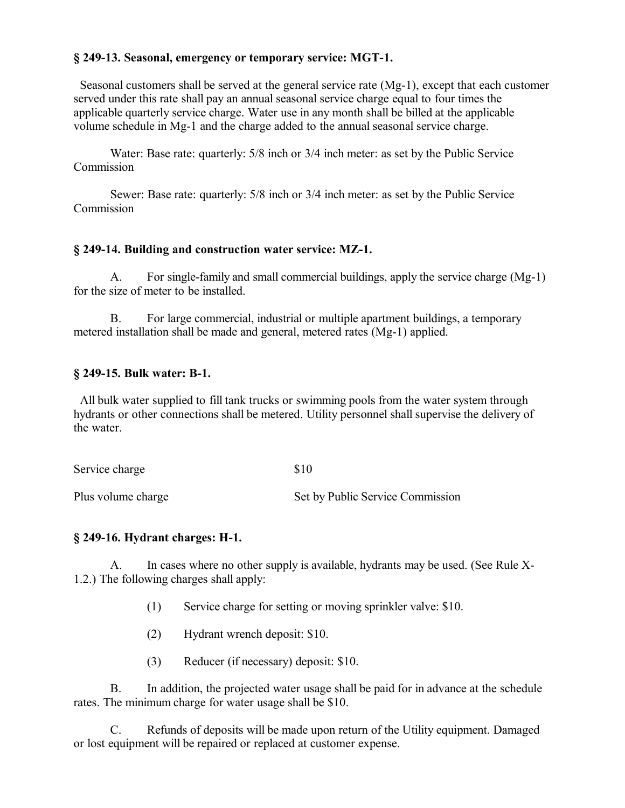### **§ 249-13. Seasonal, emergency or temporary service: MGT-1.**

 Seasonal customers shall be served at the general service rate (Mg-1), except that each customer served under this rate shall pay an annual seasonal service charge equal to four times the applicable quarterly service charge. Water use in any month shall be billed at the applicable volume schedule in Mg-1 and the charge added to the annual seasonal service charge.

Water: Base rate: quarterly: 5/8 inch or 3/4 inch meter: as set by the Public Service **Commission** 

Sewer: Base rate: quarterly: 5/8 inch or 3/4 inch meter: as set by the Public Service Commission

### **§ 249-14. Building and construction water service: MZ-1.**

A. For single-family and small commercial buildings, apply the service charge (Mg-1) for the size of meter to be installed.

B. For large commercial, industrial or multiple apartment buildings, a temporary metered installation shall be made and general, metered rates (Mg-1) applied.

### **§ 249-15. Bulk water: B-1.**

 All bulk water supplied to fill tank trucks or swimming pools from the water system through hydrants or other connections shall be metered. Utility personnel shall supervise the delivery of the water.

| Service charge     | \$10                             |
|--------------------|----------------------------------|
| Plus volume charge | Set by Public Service Commission |

#### **§ 249-16. Hydrant charges: H-1.**

A. In cases where no other supply is available, hydrants may be used. (See Rule X-1.2.) The following charges shall apply:

- (1) Service charge for setting or moving sprinkler valve: \$10.
- (2) Hydrant wrench deposit: \$10.
- (3) Reducer (if necessary) deposit: \$10.

B. In addition, the projected water usage shall be paid for in advance at the schedule rates. The minimum charge for water usage shall be \$10.

C. Refunds of deposits will be made upon return of the Utility equipment. Damaged or lost equipment will be repaired or replaced at customer expense.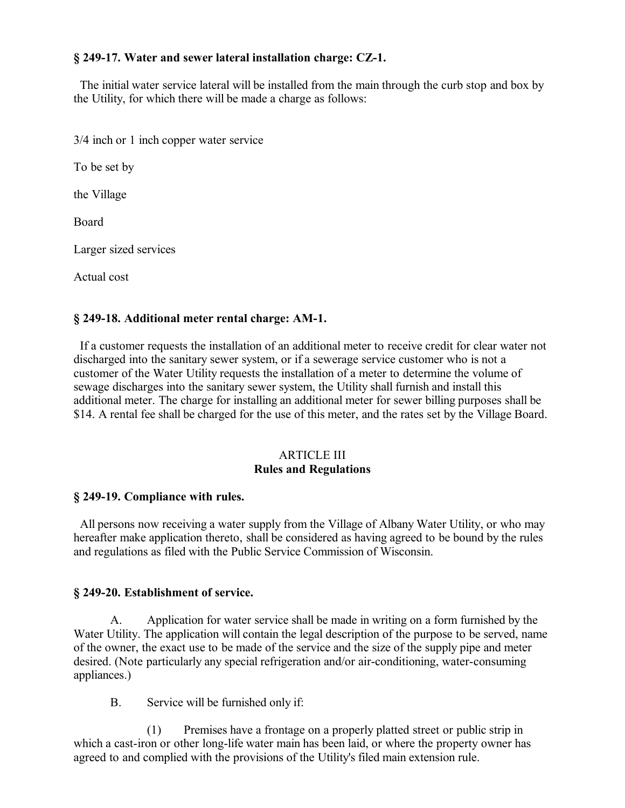### **§ 249-17. Water and sewer lateral installation charge: CZ-1.**

 The initial water service lateral will be installed from the main through the curb stop and box by the Utility, for which there will be made a charge as follows:

3/4 inch or 1 inch copper water service

To be set by

the Village

Board

Larger sized services

Actual cost

### **§ 249-18. Additional meter rental charge: AM-1.**

 If a customer requests the installation of an additional meter to receive credit for clear water not discharged into the sanitary sewer system, or if a sewerage service customer who is not a customer of the Water Utility requests the installation of a meter to determine the volume of sewage discharges into the sanitary sewer system, the Utility shall furnish and install this additional meter. The charge for installing an additional meter for sewer billing purposes shall be \$14. A rental fee shall be charged for the use of this meter, and the rates set by the Village Board.

#### ARTICLE III **Rules and Regulations**

#### **§ 249-19. Compliance with rules.**

 All persons now receiving a water supply from the Village of Albany Water Utility, or who may hereafter make application thereto, shall be considered as having agreed to be bound by the rules and regulations as filed with the Public Service Commission of Wisconsin.

#### **§ 249-20. Establishment of service.**

A. Application for water service shall be made in writing on a form furnished by the Water Utility. The application will contain the legal description of the purpose to be served, name of the owner, the exact use to be made of the service and the size of the supply pipe and meter desired. (Note particularly any special refrigeration and/or air-conditioning, water-consuming appliances.)

B. Service will be furnished only if:

(1) Premises have a frontage on a properly platted street or public strip in which a cast-iron or other long-life water main has been laid, or where the property owner has agreed to and complied with the provisions of the Utility's filed main extension rule.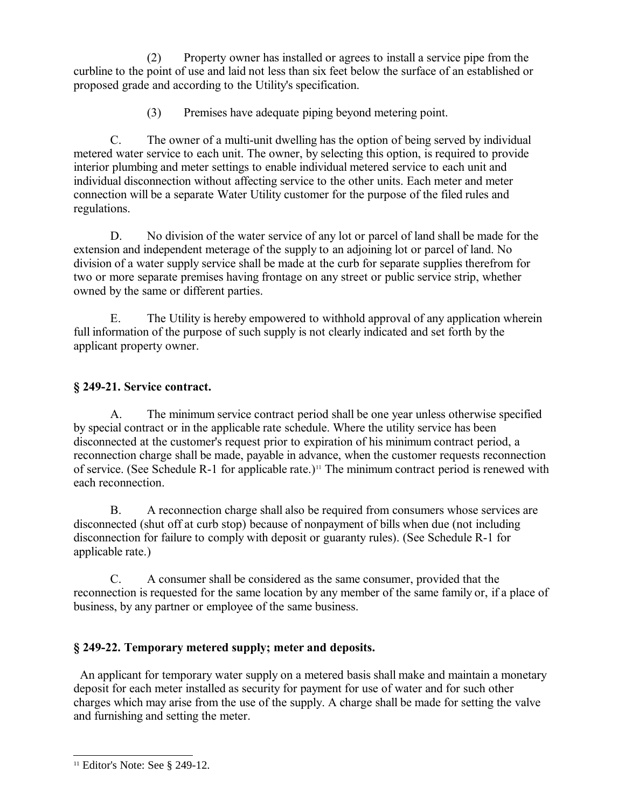(2) Property owner has installed or agrees to install a service pipe from the curbline to the point of use and laid not less than six feet below the surface of an established or proposed grade and according to the Utility's specification.

(3) Premises have adequate piping beyond metering point.

C. The owner of a multi-unit dwelling has the option of being served by individual metered water service to each unit. The owner, by selecting this option, is required to provide interior plumbing and meter settings to enable individual metered service to each unit and individual disconnection without affecting service to the other units. Each meter and meter connection will be a separate Water Utility customer for the purpose of the filed rules and regulations.

D. No division of the water service of any lot or parcel of land shall be made for the extension and independent meterage of the supply to an adjoining lot or parcel of land. No division of a water supply service shall be made at the curb for separate supplies therefrom for two or more separate premises having frontage on any street or public service strip, whether owned by the same or different parties.

E. The Utility is hereby empowered to withhold approval of any application wherein full information of the purpose of such supply is not clearly indicated and set forth by the applicant property owner.

## **§ 249-21. Service contract.**

A. The minimum service contract period shall be one year unless otherwise specified by special contract or in the applicable rate schedule. Where the utility service has been disconnected at the customer's request prior to expiration of his minimum contract period, a reconnection charge shall be made, payable in advance, when the customer requests reconnection of service. (See Schedule R-1 for applicable rate.)<sup>[11](#page-8-0)</sup> The minimum contract period is renewed with each reconnection.

B. A reconnection charge shall also be required from consumers whose services are disconnected (shut off at curb stop) because of nonpayment of bills when due (not including disconnection for failure to comply with deposit or guaranty rules). (See Schedule R-1 for applicable rate.)

C. A consumer shall be considered as the same consumer, provided that the reconnection is requested for the same location by any member of the same family or, if a place of business, by any partner or employee of the same business.

## **§ 249-22. Temporary metered supply; meter and deposits.**

 An applicant for temporary water supply on a metered basis shall make and maintain a monetary deposit for each meter installed as security for payment for use of water and for such other charges which may arise from the use of the supply. A charge shall be made for setting the valve and furnishing and setting the meter.

<span id="page-8-0"></span><sup>11</sup> Editor's Note: See § 249-12.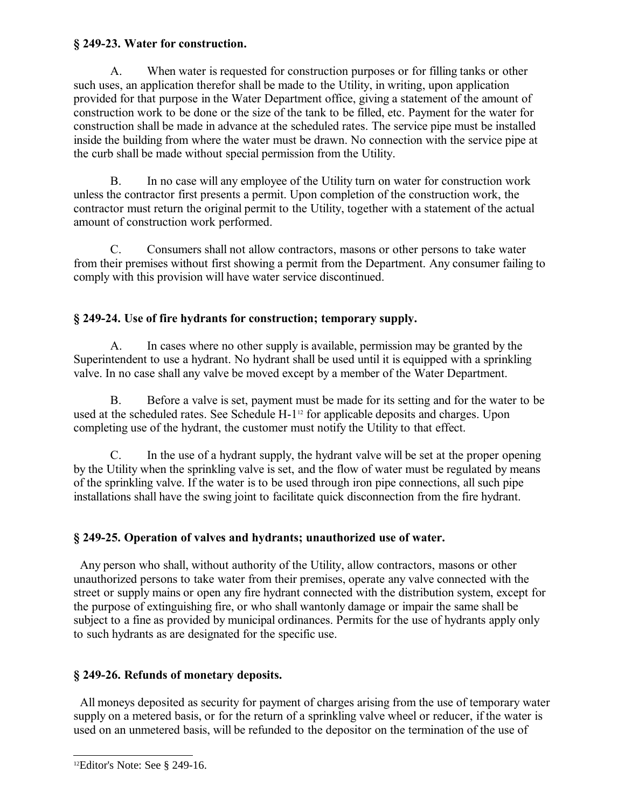## **§ 249-23. Water for construction.**

A. When water is requested for construction purposes or for filling tanks or other such uses, an application therefor shall be made to the Utility, in writing, upon application provided for that purpose in the Water Department office, giving a statement of the amount of construction work to be done or the size of the tank to be filled, etc. Payment for the water for construction shall be made in advance at the scheduled rates. The service pipe must be installed inside the building from where the water must be drawn. No connection with the service pipe at the curb shall be made without special permission from the Utility.

B. In no case will any employee of the Utility turn on water for construction work unless the contractor first presents a permit. Upon completion of the construction work, the contractor must return the original permit to the Utility, together with a statement of the actual amount of construction work performed.

C. Consumers shall not allow contractors, masons or other persons to take water from their premises without first showing a permit from the Department. Any consumer failing to comply with this provision will have water service discontinued.

# **§ 249-24. Use of fire hydrants for construction; temporary supply.**

A. In cases where no other supply is available, permission may be granted by the Superintendent to use a hydrant. No hydrant shall be used until it is equipped with a sprinkling valve. In no case shall any valve be moved except by a member of the Water Department.

B. Before a valve is set, payment must be made for its setting and for the water to be used at the scheduled rates. See Schedule H-1<sup>[12](#page-9-0)</sup> for applicable deposits and charges. Upon completing use of the hydrant, the customer must notify the Utility to that effect.

C. In the use of a hydrant supply, the hydrant valve will be set at the proper opening by the Utility when the sprinkling valve is set, and the flow of water must be regulated by means of the sprinkling valve. If the water is to be used through iron pipe connections, all such pipe installations shall have the swing joint to facilitate quick disconnection from the fire hydrant.

## **§ 249-25. Operation of valves and hydrants; unauthorized use of water.**

 Any person who shall, without authority of the Utility, allow contractors, masons or other unauthorized persons to take water from their premises, operate any valve connected with the street or supply mains or open any fire hydrant connected with the distribution system, except for the purpose of extinguishing fire, or who shall wantonly damage or impair the same shall be subject to a fine as provided by municipal ordinances. Permits for the use of hydrants apply only to such hydrants as are designated for the specific use.

## **§ 249-26. Refunds of monetary deposits.**

 All moneys deposited as security for payment of charges arising from the use of temporary water supply on a metered basis, or for the return of a sprinkling valve wheel or reducer, if the water is used on an unmetered basis, will be refunded to the depositor on the termination of the use of

<span id="page-9-0"></span><sup>12</sup>Editor's Note: See § 249-16.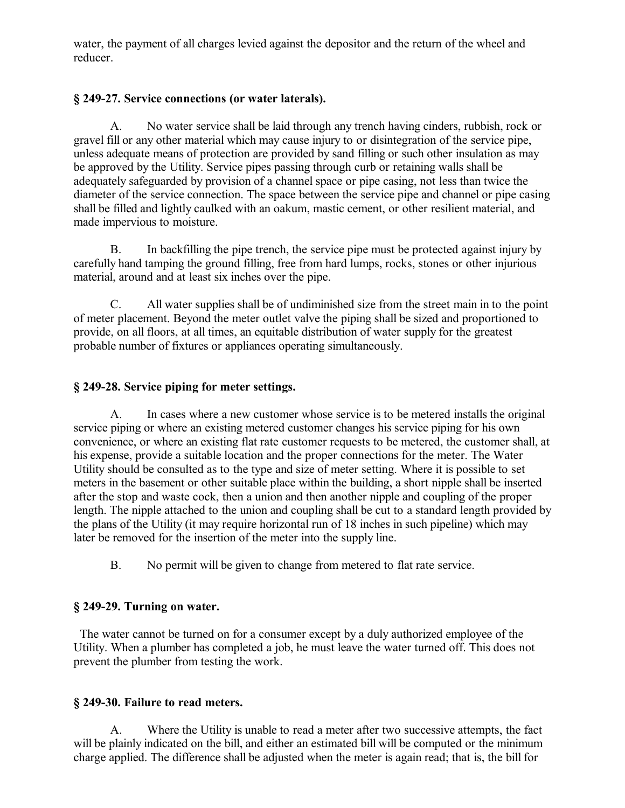water, the payment of all charges levied against the depositor and the return of the wheel and reducer.

## **§ 249-27. Service connections (or water laterals).**

A. No water service shall be laid through any trench having cinders, rubbish, rock or gravel fill or any other material which may cause injury to or disintegration of the service pipe, unless adequate means of protection are provided by sand filling or such other insulation as may be approved by the Utility. Service pipes passing through curb or retaining walls shall be adequately safeguarded by provision of a channel space or pipe casing, not less than twice the diameter of the service connection. The space between the service pipe and channel or pipe casing shall be filled and lightly caulked with an oakum, mastic cement, or other resilient material, and made impervious to moisture.

B. In backfilling the pipe trench, the service pipe must be protected against injury by carefully hand tamping the ground filling, free from hard lumps, rocks, stones or other injurious material, around and at least six inches over the pipe.

C. All water supplies shall be of undiminished size from the street main in to the point of meter placement. Beyond the meter outlet valve the piping shall be sized and proportioned to provide, on all floors, at all times, an equitable distribution of water supply for the greatest probable number of fixtures or appliances operating simultaneously.

## **§ 249-28. Service piping for meter settings.**

A. In cases where a new customer whose service is to be metered installs the original service piping or where an existing metered customer changes his service piping for his own convenience, or where an existing flat rate customer requests to be metered, the customer shall, at his expense, provide a suitable location and the proper connections for the meter. The Water Utility should be consulted as to the type and size of meter setting. Where it is possible to set meters in the basement or other suitable place within the building, a short nipple shall be inserted after the stop and waste cock, then a union and then another nipple and coupling of the proper length. The nipple attached to the union and coupling shall be cut to a standard length provided by the plans of the Utility (it may require horizontal run of 18 inches in such pipeline) which may later be removed for the insertion of the meter into the supply line.

B. No permit will be given to change from metered to flat rate service.

## **§ 249-29. Turning on water.**

 The water cannot be turned on for a consumer except by a duly authorized employee of the Utility. When a plumber has completed a job, he must leave the water turned off. This does not prevent the plumber from testing the work.

## **§ 249-30. Failure to read meters.**

A. Where the Utility is unable to read a meter after two successive attempts, the fact will be plainly indicated on the bill, and either an estimated bill will be computed or the minimum charge applied. The difference shall be adjusted when the meter is again read; that is, the bill for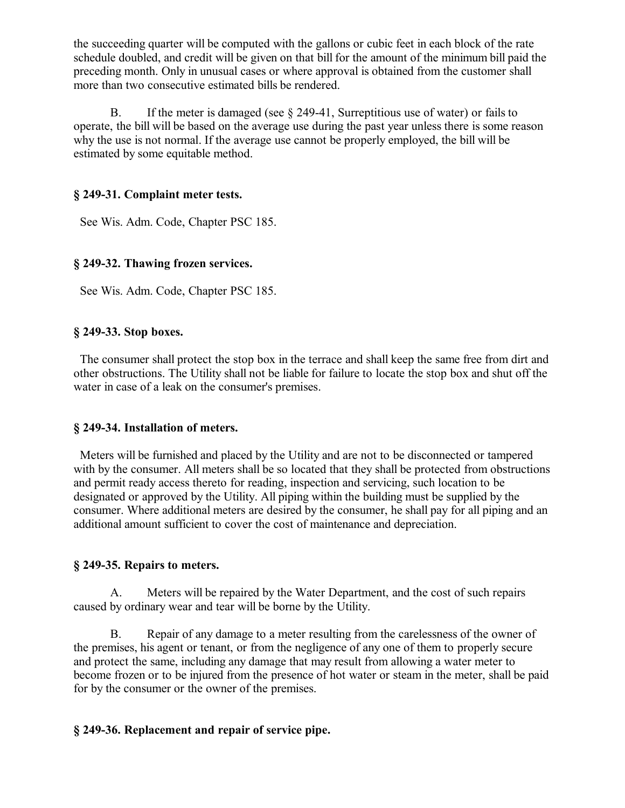the succeeding quarter will be computed with the gallons or cubic feet in each block of the rate schedule doubled, and credit will be given on that bill for the amount of the minimum bill paid the preceding month. Only in unusual cases or where approval is obtained from the customer shall more than two consecutive estimated bills be rendered.

B. If the meter is damaged (see  $\S$  249-41, Surreptitious use of water) or fails to operate, the bill will be based on the average use during the past year unless there is some reason why the use is not normal. If the average use cannot be properly employed, the bill will be estimated by some equitable method.

### **§ 249-31. Complaint meter tests.**

See Wis. Adm. Code, Chapter PSC 185.

### **§ 249-32. Thawing frozen services.**

See Wis. Adm. Code, Chapter PSC 185.

### **§ 249-33. Stop boxes.**

 The consumer shall protect the stop box in the terrace and shall keep the same free from dirt and other obstructions. The Utility shall not be liable for failure to locate the stop box and shut off the water in case of a leak on the consumer's premises.

#### **§ 249-34. Installation of meters.**

 Meters will be furnished and placed by the Utility and are not to be disconnected or tampered with by the consumer. All meters shall be so located that they shall be protected from obstructions and permit ready access thereto for reading, inspection and servicing, such location to be designated or approved by the Utility. All piping within the building must be supplied by the consumer. Where additional meters are desired by the consumer, he shall pay for all piping and an additional amount sufficient to cover the cost of maintenance and depreciation.

#### **§ 249-35. Repairs to meters.**

A. Meters will be repaired by the Water Department, and the cost of such repairs caused by ordinary wear and tear will be borne by the Utility.

B. Repair of any damage to a meter resulting from the carelessness of the owner of the premises, his agent or tenant, or from the negligence of any one of them to properly secure and protect the same, including any damage that may result from allowing a water meter to become frozen or to be injured from the presence of hot water or steam in the meter, shall be paid for by the consumer or the owner of the premises.

#### **§ 249-36. Replacement and repair of service pipe.**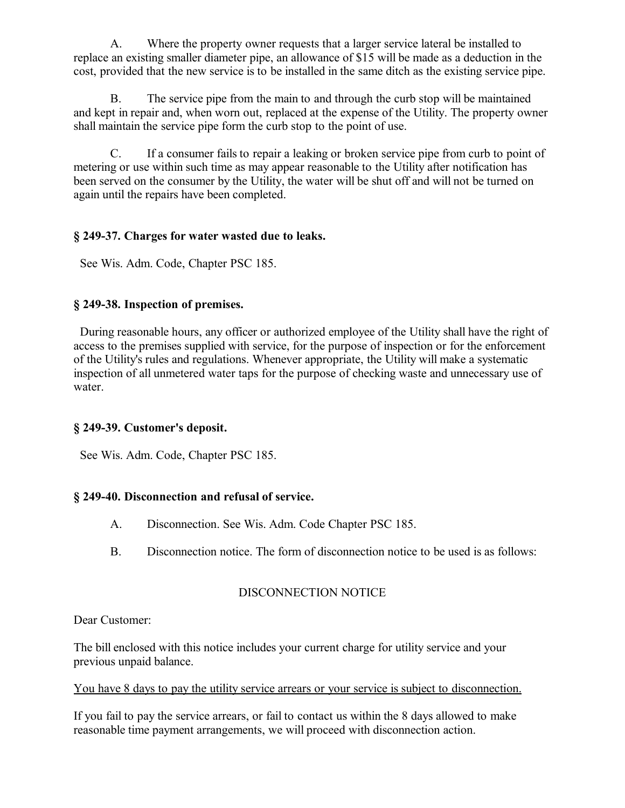A. Where the property owner requests that a larger service lateral be installed to replace an existing smaller diameter pipe, an allowance of \$15 will be made as a deduction in the cost, provided that the new service is to be installed in the same ditch as the existing service pipe.

B. The service pipe from the main to and through the curb stop will be maintained and kept in repair and, when worn out, replaced at the expense of the Utility. The property owner shall maintain the service pipe form the curb stop to the point of use.

C. If a consumer fails to repair a leaking or broken service pipe from curb to point of metering or use within such time as may appear reasonable to the Utility after notification has been served on the consumer by the Utility, the water will be shut off and will not be turned on again until the repairs have been completed.

## **§ 249-37. Charges for water wasted due to leaks.**

See Wis. Adm. Code, Chapter PSC 185.

## **§ 249-38. Inspection of premises.**

 During reasonable hours, any officer or authorized employee of the Utility shall have the right of access to the premises supplied with service, for the purpose of inspection or for the enforcement of the Utility's rules and regulations. Whenever appropriate, the Utility will make a systematic inspection of all unmetered water taps for the purpose of checking waste and unnecessary use of water.

## **§ 249-39. Customer's deposit.**

See Wis. Adm. Code, Chapter PSC 185.

## **§ 249-40. Disconnection and refusal of service.**

- A. Disconnection. See Wis. Adm. Code Chapter PSC 185.
- B. Disconnection notice. The form of disconnection notice to be used is as follows:

## DISCONNECTION NOTICE

Dear Customer:

The bill enclosed with this notice includes your current charge for utility service and your previous unpaid balance.

#### You have 8 days to pay the utility service arrears or your service is subject to disconnection.

If you fail to pay the service arrears, or fail to contact us within the 8 days allowed to make reasonable time payment arrangements, we will proceed with disconnection action.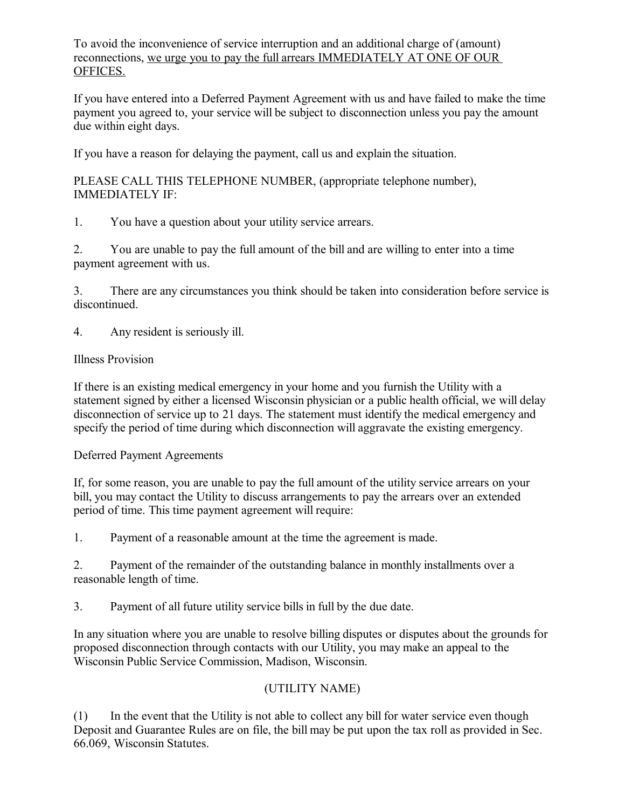To avoid the inconvenience of service interruption and an additional charge of (amount) reconnections, we urge you to pay the full arrears IMMEDIATELY AT ONE OF OUR OFFICES.

If you have entered into a Deferred Payment Agreement with us and have failed to make the time payment you agreed to, your service will be subject to disconnection unless you pay the amount due within eight days.

If you have a reason for delaying the payment, call us and explain the situation.

PLEASE CALL THIS TELEPHONE NUMBER, (appropriate telephone number), IMMEDIATELY IF:

1. You have a question about your utility service arrears.

2. You are unable to pay the full amount of the bill and are willing to enter into a time payment agreement with us.

3. There are any circumstances you think should be taken into consideration before service is discontinued.

4. Any resident is seriously ill.

### Illness Provision

If there is an existing medical emergency in your home and you furnish the Utility with a statement signed by either a licensed Wisconsin physician or a public health official, we will delay disconnection of service up to 21 days. The statement must identify the medical emergency and specify the period of time during which disconnection will aggravate the existing emergency.

Deferred Payment Agreements

If, for some reason, you are unable to pay the full amount of the utility service arrears on your bill, you may contact the Utility to discuss arrangements to pay the arrears over an extended period of time. This time payment agreement will require:

1. Payment of a reasonable amount at the time the agreement is made.

2. Payment of the remainder of the outstanding balance in monthly installments over a reasonable length of time.

3. Payment of all future utility service bills in full by the due date.

In any situation where you are unable to resolve billing disputes or disputes about the grounds for proposed disconnection through contacts with our Utility, you may make an appeal to the Wisconsin Public Service Commission, Madison, Wisconsin.

## (UTILITY NAME)

(1) In the event that the Utility is not able to collect any bill for water service even though Deposit and Guarantee Rules are on file, the bill may be put upon the tax roll as provided in Sec. 66.069, Wisconsin Statutes.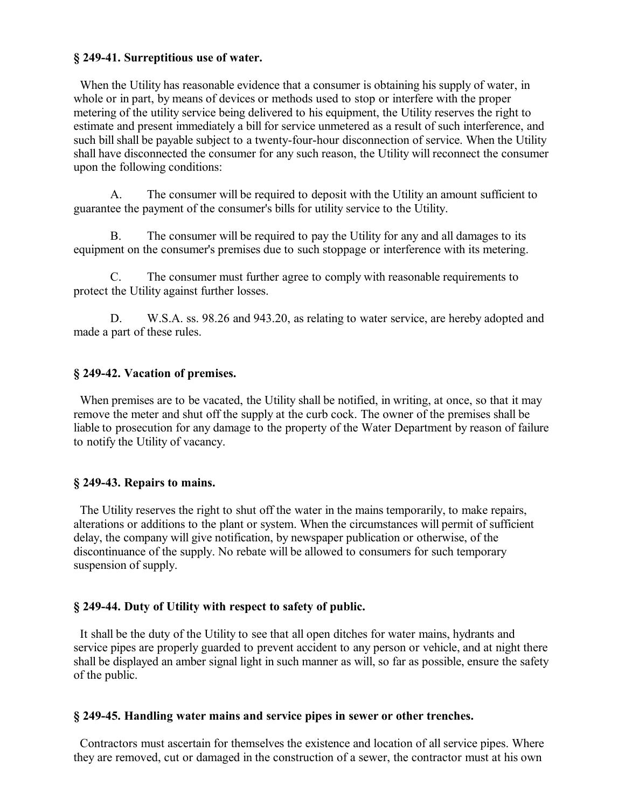#### **§ 249-41. Surreptitious use of water.**

When the Utility has reasonable evidence that a consumer is obtaining his supply of water, in whole or in part, by means of devices or methods used to stop or interfere with the proper metering of the utility service being delivered to his equipment, the Utility reserves the right to estimate and present immediately a bill for service unmetered as a result of such interference, and such bill shall be payable subject to a twenty-four-hour disconnection of service. When the Utility shall have disconnected the consumer for any such reason, the Utility will reconnect the consumer upon the following conditions:

A. The consumer will be required to deposit with the Utility an amount sufficient to guarantee the payment of the consumer's bills for utility service to the Utility.

B. The consumer will be required to pay the Utility for any and all damages to its equipment on the consumer's premises due to such stoppage or interference with its metering.

C. The consumer must further agree to comply with reasonable requirements to protect the Utility against further losses.

D. W.S.A. ss. 98.26 and 943.20, as relating to water service, are hereby adopted and made a part of these rules.

#### **§ 249-42. Vacation of premises.**

 When premises are to be vacated, the Utility shall be notified, in writing, at once, so that it may remove the meter and shut off the supply at the curb cock. The owner of the premises shall be liable to prosecution for any damage to the property of the Water Department by reason of failure to notify the Utility of vacancy.

#### **§ 249-43. Repairs to mains.**

 The Utility reserves the right to shut off the water in the mains temporarily, to make repairs, alterations or additions to the plant or system. When the circumstances will permit of sufficient delay, the company will give notification, by newspaper publication or otherwise, of the discontinuance of the supply. No rebate will be allowed to consumers for such temporary suspension of supply.

#### **§ 249-44. Duty of Utility with respect to safety of public.**

 It shall be the duty of the Utility to see that all open ditches for water mains, hydrants and service pipes are properly guarded to prevent accident to any person or vehicle, and at night there shall be displayed an amber signal light in such manner as will, so far as possible, ensure the safety of the public.

#### **§ 249-45. Handling water mains and service pipes in sewer or other trenches.**

 Contractors must ascertain for themselves the existence and location of all service pipes. Where they are removed, cut or damaged in the construction of a sewer, the contractor must at his own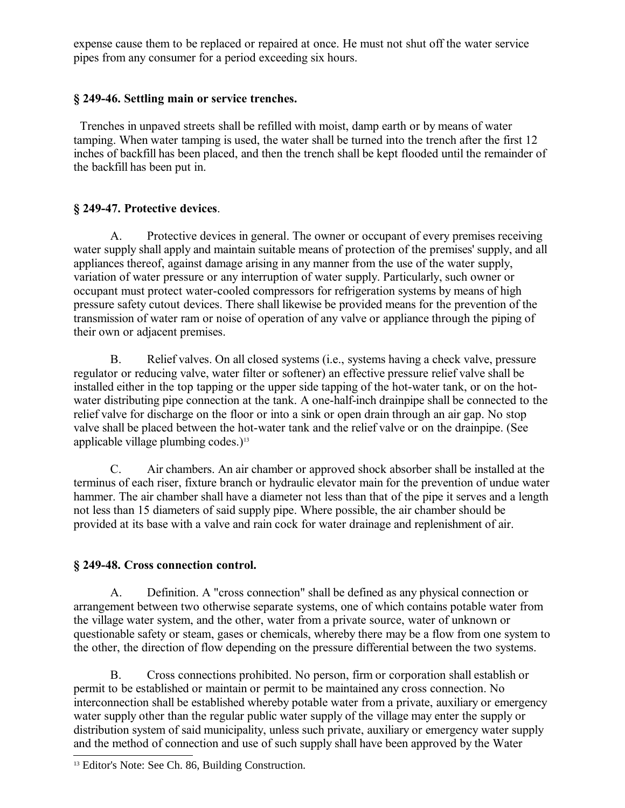expense cause them to be replaced or repaired at once. He must not shut off the water service pipes from any consumer for a period exceeding six hours.

## **§ 249-46. Settling main or service trenches.**

 Trenches in unpaved streets shall be refilled with moist, damp earth or by means of water tamping. When water tamping is used, the water shall be turned into the trench after the first 12 inches of backfill has been placed, and then the trench shall be kept flooded until the remainder of the backfill has been put in.

## **§ 249-47. Protective devices**.

A. Protective devices in general. The owner or occupant of every premises receiving water supply shall apply and maintain suitable means of protection of the premises' supply, and all appliances thereof, against damage arising in any manner from the use of the water supply, variation of water pressure or any interruption of water supply. Particularly, such owner or occupant must protect water-cooled compressors for refrigeration systems by means of high pressure safety cutout devices. There shall likewise be provided means for the prevention of the transmission of water ram or noise of operation of any valve or appliance through the piping of their own or adjacent premises.

B. Relief valves. On all closed systems (i.e., systems having a check valve, pressure regulator or reducing valve, water filter or softener) an effective pressure relief valve shall be installed either in the top tapping or the upper side tapping of the hot-water tank, or on the hotwater distributing pipe connection at the tank. A one-half-inch drainpipe shall be connected to the relief valve for discharge on the floor or into a sink or open drain through an air gap. No stop valve shall be placed between the hot-water tank and the relief valve or on the drainpipe. (See applicable village plumbing codes.) $13$ 

C. Air chambers. An air chamber or approved shock absorber shall be installed at the terminus of each riser, fixture branch or hydraulic elevator main for the prevention of undue water hammer. The air chamber shall have a diameter not less than that of the pipe it serves and a length not less than 15 diameters of said supply pipe. Where possible, the air chamber should be provided at its base with a valve and rain cock for water drainage and replenishment of air.

## **§ 249-48. Cross connection control.**

A. Definition. A "cross connection" shall be defined as any physical connection or arrangement between two otherwise separate systems, one of which contains potable water from the village water system, and the other, water from a private source, water of unknown or questionable safety or steam, gases or chemicals, whereby there may be a flow from one system to the other, the direction of flow depending on the pressure differential between the two systems.

B. Cross connections prohibited. No person, firm or corporation shall establish or permit to be established or maintain or permit to be maintained any cross connection. No interconnection shall be established whereby potable water from a private, auxiliary or emergency water supply other than the regular public water supply of the village may enter the supply or distribution system of said municipality, unless such private, auxiliary or emergency water supply and the method of connection and use of such supply shall have been approved by the Water

<span id="page-15-0"></span><sup>&</sup>lt;sup>13</sup> Editor's Note: See Ch. 86, Building Construction.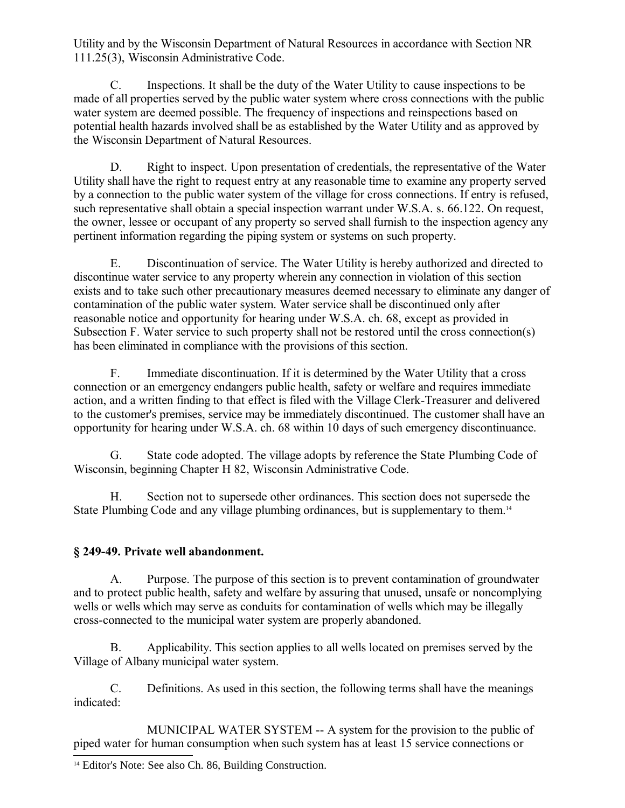Utility and by the Wisconsin Department of Natural Resources in accordance with Section NR 111.25(3), Wisconsin Administrative Code.

C. Inspections. It shall be the duty of the Water Utility to cause inspections to be made of all properties served by the public water system where cross connections with the public water system are deemed possible. The frequency of inspections and reinspections based on potential health hazards involved shall be as established by the Water Utility and as approved by the Wisconsin Department of Natural Resources.

D. Right to inspect. Upon presentation of credentials, the representative of the Water Utility shall have the right to request entry at any reasonable time to examine any property served by a connection to the public water system of the village for cross connections. If entry is refused, such representative shall obtain a special inspection warrant under W.S.A. s. 66.122. On request, the owner, lessee or occupant of any property so served shall furnish to the inspection agency any pertinent information regarding the piping system or systems on such property.

E. Discontinuation of service. The Water Utility is hereby authorized and directed to discontinue water service to any property wherein any connection in violation of this section exists and to take such other precautionary measures deemed necessary to eliminate any danger of contamination of the public water system. Water service shall be discontinued only after reasonable notice and opportunity for hearing under W.S.A. ch. 68, except as provided in Subsection F. Water service to such property shall not be restored until the cross connection(s) has been eliminated in compliance with the provisions of this section.

F. Immediate discontinuation. If it is determined by the Water Utility that a cross connection or an emergency endangers public health, safety or welfare and requires immediate action, and a written finding to that effect is filed with the Village Clerk-Treasurer and delivered to the customer's premises, service may be immediately discontinued. The customer shall have an opportunity for hearing under W.S.A. ch. 68 within 10 days of such emergency discontinuance.

G. State code adopted. The village adopts by reference the State Plumbing Code of Wisconsin, beginning Chapter H 82, Wisconsin Administrative Code.

H. Section not to supersede other ordinances. This section does not supersede the State Plumbing Code and any village plumbing ordinances, but is supplementary to them.<sup>[14](#page-16-0)</sup>

## **§ 249-49. Private well abandonment.**

A. Purpose. The purpose of this section is to prevent contamination of groundwater and to protect public health, safety and welfare by assuring that unused, unsafe or noncomplying wells or wells which may serve as conduits for contamination of wells which may be illegally cross-connected to the municipal water system are properly abandoned.

B. Applicability. This section applies to all wells located on premises served by the Village of Albany municipal water system.

C. Definitions. As used in this section, the following terms shall have the meanings indicated:

MUNICIPAL WATER SYSTEM -- A system for the provision to the public of piped water for human consumption when such system has at least 15 service connections or

<span id="page-16-0"></span><sup>14</sup> Editor's Note: See also Ch. 86, Building Construction.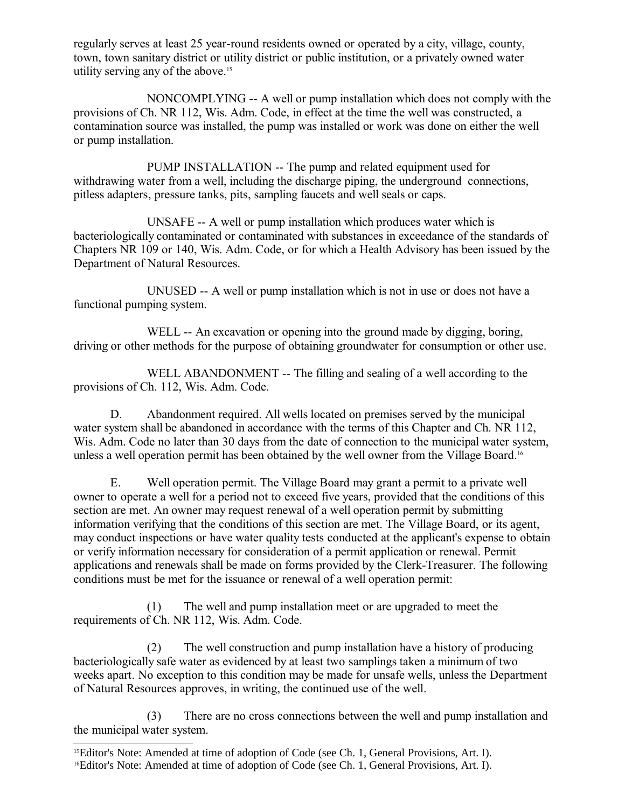regularly serves at least 25 year-round residents owned or operated by a city, village, county, town, town sanitary district or utility district or public institution, or a privately owned water utility serving any of the above.<sup>[15](#page-17-0)</sup>

NONCOMPLYING -- A well or pump installation which does not comply with the provisions of Ch. NR 112, Wis. Adm. Code, in effect at the time the well was constructed, a contamination source was installed, the pump was installed or work was done on either the well or pump installation.

PUMP INSTALLATION -- The pump and related equipment used for withdrawing water from a well, including the discharge piping, the underground connections, pitless adapters, pressure tanks, pits, sampling faucets and well seals or caps.

UNSAFE -- A well or pump installation which produces water which is bacteriologically contaminated or contaminated with substances in exceedance of the standards of Chapters NR 109 or 140, Wis. Adm. Code, or for which a Health Advisory has been issued by the Department of Natural Resources.

UNUSED -- A well or pump installation which is not in use or does not have a functional pumping system.

WELL -- An excavation or opening into the ground made by digging, boring, driving or other methods for the purpose of obtaining groundwater for consumption or other use.

WELL ABANDONMENT -- The filling and sealing of a well according to the provisions of Ch. 112, Wis. Adm. Code.

D. Abandonment required. All wells located on premises served by the municipal water system shall be abandoned in accordance with the terms of this Chapter and Ch. NR 112, Wis. Adm. Code no later than 30 days from the date of connection to the municipal water system, unless a well operation permit has been obtained by the well owner from the Village Board.[16](#page-17-1)

E. Well operation permit. The Village Board may grant a permit to a private well owner to operate a well for a period not to exceed five years, provided that the conditions of this section are met. An owner may request renewal of a well operation permit by submitting information verifying that the conditions of this section are met. The Village Board, or its agent, may conduct inspections or have water quality tests conducted at the applicant's expense to obtain or verify information necessary for consideration of a permit application or renewal. Permit applications and renewals shall be made on forms provided by the Clerk-Treasurer. The following conditions must be met for the issuance or renewal of a well operation permit:

(1) The well and pump installation meet or are upgraded to meet the requirements of Ch. NR 112, Wis. Adm. Code.

(2) The well construction and pump installation have a history of producing bacteriologically safe water as evidenced by at least two samplings taken a minimum of two weeks apart. No exception to this condition may be made for unsafe wells, unless the Department of Natural Resources approves, in writing, the continued use of the well.

(3) There are no cross connections between the well and pump installation and the municipal water system.

<span id="page-17-1"></span><span id="page-17-0"></span><sup>15</sup>Editor's Note: Amended at time of adoption of Code (see Ch. 1, General Provisions, Art. I). 16Editor's Note: Amended at time of adoption of Code (see Ch. 1, General Provisions, Art. I).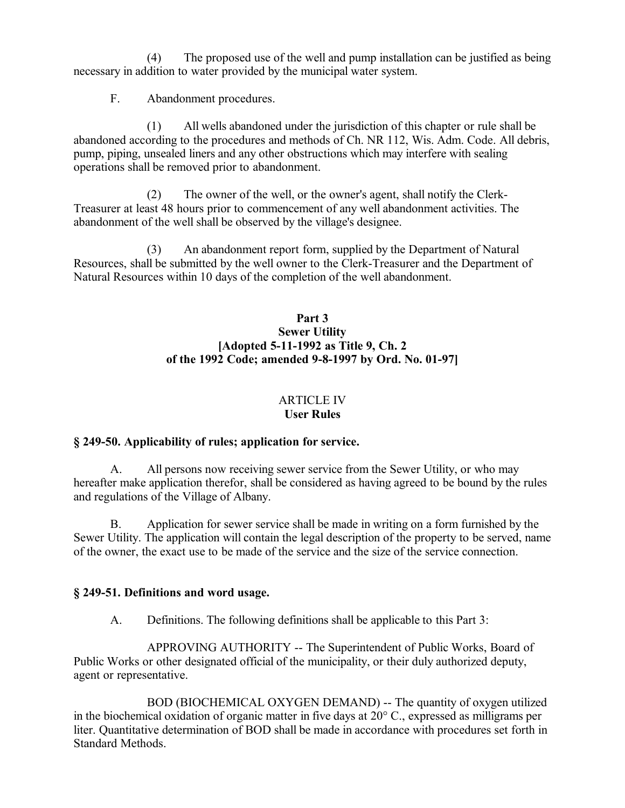(4) The proposed use of the well and pump installation can be justified as being necessary in addition to water provided by the municipal water system.

F. Abandonment procedures.

(1) All wells abandoned under the jurisdiction of this chapter or rule shall be abandoned according to the procedures and methods of Ch. NR 112, Wis. Adm. Code. All debris, pump, piping, unsealed liners and any other obstructions which may interfere with sealing operations shall be removed prior to abandonment.

(2) The owner of the well, or the owner's agent, shall notify the Clerk-Treasurer at least 48 hours prior to commencement of any well abandonment activities. The abandonment of the well shall be observed by the village's designee.

(3) An abandonment report form, supplied by the Department of Natural Resources, shall be submitted by the well owner to the Clerk-Treasurer and the Department of Natural Resources within 10 days of the completion of the well abandonment.

### **Part 3 Sewer Utility [Adopted 5-11-1992 as Title 9, Ch. 2 of the 1992 Code; amended 9-8-1997 by Ord. No. 01-97]**

#### ARTICLE IV **User Rules**

## **§ 249-50. Applicability of rules; application for service.**

A. All persons now receiving sewer service from the Sewer Utility, or who may hereafter make application therefor, shall be considered as having agreed to be bound by the rules and regulations of the Village of Albany.

B. Application for sewer service shall be made in writing on a form furnished by the Sewer Utility. The application will contain the legal description of the property to be served, name of the owner, the exact use to be made of the service and the size of the service connection.

## **§ 249-51. Definitions and word usage.**

A. Definitions. The following definitions shall be applicable to this Part 3:

APPROVING AUTHORITY -- The Superintendent of Public Works, Board of Public Works or other designated official of the municipality, or their duly authorized deputy, agent or representative.

BOD (BIOCHEMICAL OXYGEN DEMAND) -- The quantity of oxygen utilized in the biochemical oxidation of organic matter in five days at 20° C., expressed as milligrams per liter. Quantitative determination of BOD shall be made in accordance with procedures set forth in Standard Methods.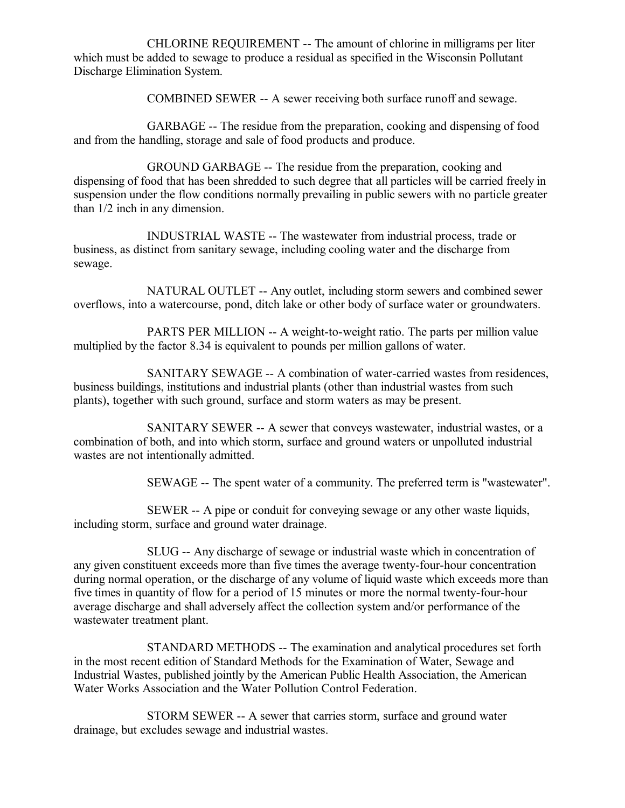CHLORINE REQUIREMENT -- The amount of chlorine in milligrams per liter which must be added to sewage to produce a residual as specified in the Wisconsin Pollutant Discharge Elimination System.

COMBINED SEWER -- A sewer receiving both surface runoff and sewage.

GARBAGE -- The residue from the preparation, cooking and dispensing of food and from the handling, storage and sale of food products and produce.

GROUND GARBAGE -- The residue from the preparation, cooking and dispensing of food that has been shredded to such degree that all particles will be carried freely in suspension under the flow conditions normally prevailing in public sewers with no particle greater than 1/2 inch in any dimension.

INDUSTRIAL WASTE -- The wastewater from industrial process, trade or business, as distinct from sanitary sewage, including cooling water and the discharge from sewage.

NATURAL OUTLET -- Any outlet, including storm sewers and combined sewer overflows, into a watercourse, pond, ditch lake or other body of surface water or groundwaters.

PARTS PER MILLION -- A weight-to-weight ratio. The parts per million value multiplied by the factor 8.34 is equivalent to pounds per million gallons of water.

SANITARY SEWAGE -- A combination of water-carried wastes from residences, business buildings, institutions and industrial plants (other than industrial wastes from such plants), together with such ground, surface and storm waters as may be present.

SANITARY SEWER -- A sewer that conveys wastewater, industrial wastes, or a combination of both, and into which storm, surface and ground waters or unpolluted industrial wastes are not intentionally admitted.

SEWAGE -- The spent water of a community. The preferred term is "wastewater".

SEWER -- A pipe or conduit for conveying sewage or any other waste liquids, including storm, surface and ground water drainage.

SLUG -- Any discharge of sewage or industrial waste which in concentration of any given constituent exceeds more than five times the average twenty-four-hour concentration during normal operation, or the discharge of any volume of liquid waste which exceeds more than five times in quantity of flow for a period of 15 minutes or more the normal twenty-four-hour average discharge and shall adversely affect the collection system and/or performance of the wastewater treatment plant.

STANDARD METHODS -- The examination and analytical procedures set forth in the most recent edition of Standard Methods for the Examination of Water, Sewage and Industrial Wastes, published jointly by the American Public Health Association, the American Water Works Association and the Water Pollution Control Federation.

STORM SEWER -- A sewer that carries storm, surface and ground water drainage, but excludes sewage and industrial wastes.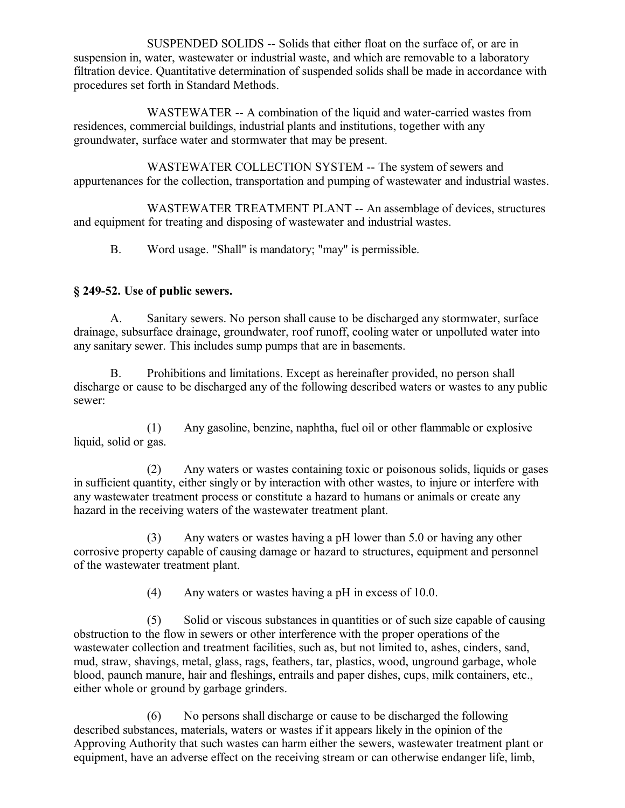SUSPENDED SOLIDS -- Solids that either float on the surface of, or are in suspension in, water, wastewater or industrial waste, and which are removable to a laboratory filtration device. Quantitative determination of suspended solids shall be made in accordance with procedures set forth in Standard Methods.

WASTEWATER -- A combination of the liquid and water-carried wastes from residences, commercial buildings, industrial plants and institutions, together with any groundwater, surface water and stormwater that may be present.

WASTEWATER COLLECTION SYSTEM -- The system of sewers and appurtenances for the collection, transportation and pumping of wastewater and industrial wastes.

WASTEWATER TREATMENT PLANT -- An assemblage of devices, structures and equipment for treating and disposing of wastewater and industrial wastes.

B. Word usage. "Shall" is mandatory; "may" is permissible.

## **§ 249-52. Use of public sewers.**

A. Sanitary sewers. No person shall cause to be discharged any stormwater, surface drainage, subsurface drainage, groundwater, roof runoff, cooling water or unpolluted water into any sanitary sewer. This includes sump pumps that are in basements.

B. Prohibitions and limitations. Except as hereinafter provided, no person shall discharge or cause to be discharged any of the following described waters or wastes to any public sewer:

(1) Any gasoline, benzine, naphtha, fuel oil or other flammable or explosive liquid, solid or gas.

(2) Any waters or wastes containing toxic or poisonous solids, liquids or gases in sufficient quantity, either singly or by interaction with other wastes, to injure or interfere with any wastewater treatment process or constitute a hazard to humans or animals or create any hazard in the receiving waters of the wastewater treatment plant.

(3) Any waters or wastes having a pH lower than 5.0 or having any other corrosive property capable of causing damage or hazard to structures, equipment and personnel of the wastewater treatment plant.

(4) Any waters or wastes having a pH in excess of 10.0.

(5) Solid or viscous substances in quantities or of such size capable of causing obstruction to the flow in sewers or other interference with the proper operations of the wastewater collection and treatment facilities, such as, but not limited to, ashes, cinders, sand, mud, straw, shavings, metal, glass, rags, feathers, tar, plastics, wood, unground garbage, whole blood, paunch manure, hair and fleshings, entrails and paper dishes, cups, milk containers, etc., either whole or ground by garbage grinders.

(6) No persons shall discharge or cause to be discharged the following described substances, materials, waters or wastes if it appears likely in the opinion of the Approving Authority that such wastes can harm either the sewers, wastewater treatment plant or equipment, have an adverse effect on the receiving stream or can otherwise endanger life, limb,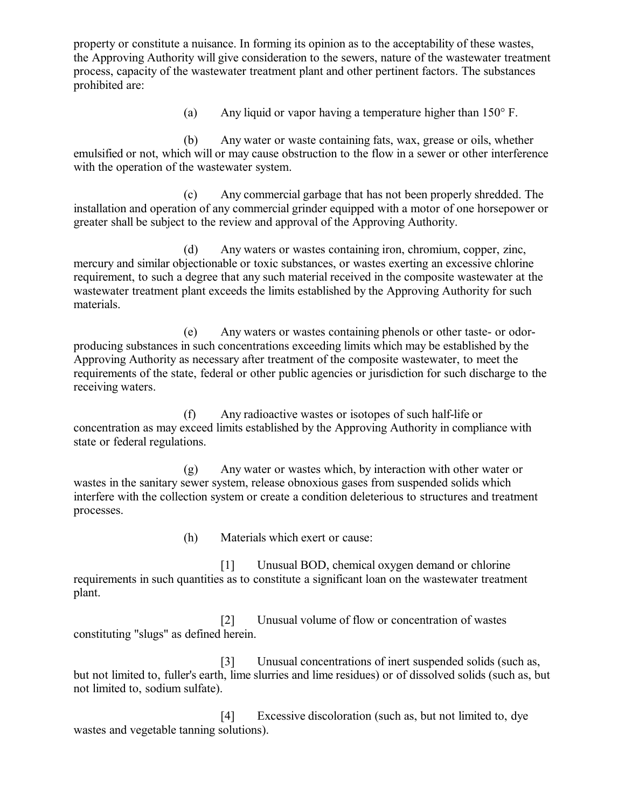property or constitute a nuisance. In forming its opinion as to the acceptability of these wastes, the Approving Authority will give consideration to the sewers, nature of the wastewater treatment process, capacity of the wastewater treatment plant and other pertinent factors. The substances prohibited are:

(a) Any liquid or vapor having a temperature higher than 150° F.

(b) Any water or waste containing fats, wax, grease or oils, whether emulsified or not, which will or may cause obstruction to the flow in a sewer or other interference with the operation of the wastewater system.

(c) Any commercial garbage that has not been properly shredded. The installation and operation of any commercial grinder equipped with a motor of one horsepower or greater shall be subject to the review and approval of the Approving Authority.

(d) Any waters or wastes containing iron, chromium, copper, zinc, mercury and similar objectionable or toxic substances, or wastes exerting an excessive chlorine requirement, to such a degree that any such material received in the composite wastewater at the wastewater treatment plant exceeds the limits established by the Approving Authority for such materials.

(e) Any waters or wastes containing phenols or other taste- or odorproducing substances in such concentrations exceeding limits which may be established by the Approving Authority as necessary after treatment of the composite wastewater, to meet the requirements of the state, federal or other public agencies or jurisdiction for such discharge to the receiving waters.

(f) Any radioactive wastes or isotopes of such half-life or concentration as may exceed limits established by the Approving Authority in compliance with state or federal regulations.

(g) Any water or wastes which, by interaction with other water or wastes in the sanitary sewer system, release obnoxious gases from suspended solids which interfere with the collection system or create a condition deleterious to structures and treatment processes.

(h) Materials which exert or cause:

[1] Unusual BOD, chemical oxygen demand or chlorine requirements in such quantities as to constitute a significant loan on the wastewater treatment plant.

[2] Unusual volume of flow or concentration of wastes constituting "slugs" as defined herein.

[3] Unusual concentrations of inert suspended solids (such as, but not limited to, fuller's earth, lime slurries and lime residues) or of dissolved solids (such as, but not limited to, sodium sulfate).

[4] Excessive discoloration (such as, but not limited to, dye wastes and vegetable tanning solutions).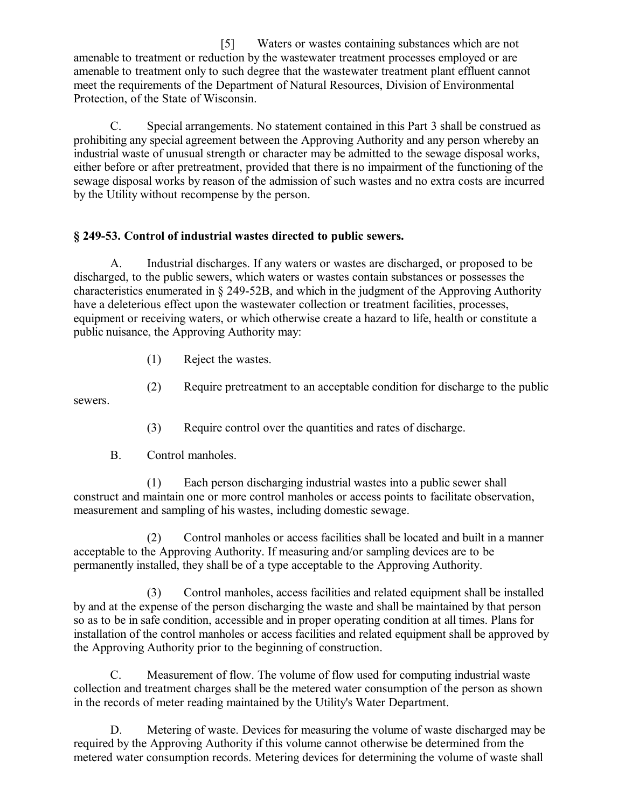[5] Waters or wastes containing substances which are not amenable to treatment or reduction by the wastewater treatment processes employed or are amenable to treatment only to such degree that the wastewater treatment plant effluent cannot meet the requirements of the Department of Natural Resources, Division of Environmental Protection, of the State of Wisconsin.

C. Special arrangements. No statement contained in this Part 3 shall be construed as prohibiting any special agreement between the Approving Authority and any person whereby an industrial waste of unusual strength or character may be admitted to the sewage disposal works, either before or after pretreatment, provided that there is no impairment of the functioning of the sewage disposal works by reason of the admission of such wastes and no extra costs are incurred by the Utility without recompense by the person.

## **§ 249-53. Control of industrial wastes directed to public sewers.**

A. Industrial discharges. If any waters or wastes are discharged, or proposed to be discharged, to the public sewers, which waters or wastes contain substances or possesses the characteristics enumerated in § 249-52B, and which in the judgment of the Approving Authority have a deleterious effect upon the wastewater collection or treatment facilities, processes, equipment or receiving waters, or which otherwise create a hazard to life, health or constitute a public nuisance, the Approving Authority may:

(1) Reject the wastes.

(2) Require pretreatment to an acceptable condition for discharge to the public

(3) Require control over the quantities and rates of discharge.

B. Control manholes.

sewers.

(1) Each person discharging industrial wastes into a public sewer shall construct and maintain one or more control manholes or access points to facilitate observation, measurement and sampling of his wastes, including domestic sewage.

(2) Control manholes or access facilities shall be located and built in a manner acceptable to the Approving Authority. If measuring and/or sampling devices are to be permanently installed, they shall be of a type acceptable to the Approving Authority.

(3) Control manholes, access facilities and related equipment shall be installed by and at the expense of the person discharging the waste and shall be maintained by that person so as to be in safe condition, accessible and in proper operating condition at all times. Plans for installation of the control manholes or access facilities and related equipment shall be approved by the Approving Authority prior to the beginning of construction.

C. Measurement of flow. The volume of flow used for computing industrial waste collection and treatment charges shall be the metered water consumption of the person as shown in the records of meter reading maintained by the Utility's Water Department.

D. Metering of waste. Devices for measuring the volume of waste discharged may be required by the Approving Authority if this volume cannot otherwise be determined from the metered water consumption records. Metering devices for determining the volume of waste shall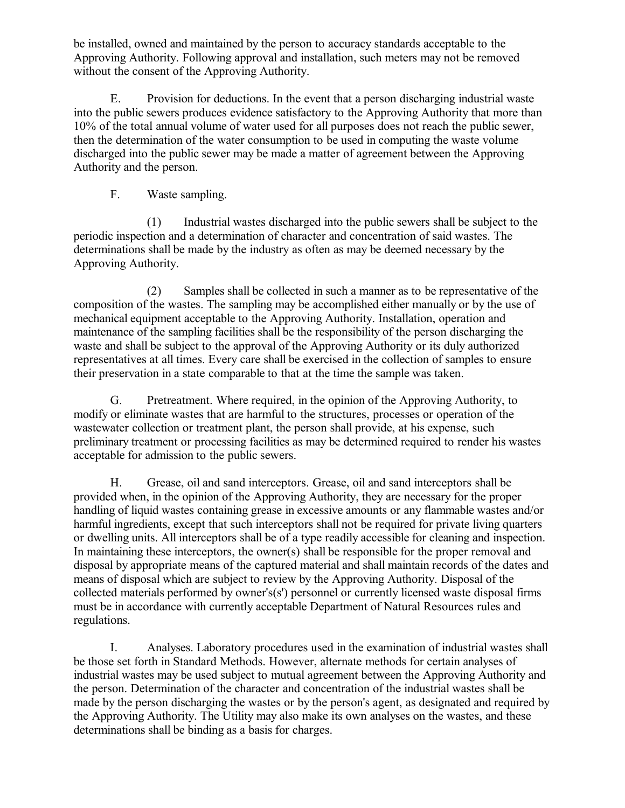be installed, owned and maintained by the person to accuracy standards acceptable to the Approving Authority. Following approval and installation, such meters may not be removed without the consent of the Approving Authority.

E. Provision for deductions. In the event that a person discharging industrial waste into the public sewers produces evidence satisfactory to the Approving Authority that more than 10% of the total annual volume of water used for all purposes does not reach the public sewer, then the determination of the water consumption to be used in computing the waste volume discharged into the public sewer may be made a matter of agreement between the Approving Authority and the person.

F. Waste sampling.

(1) Industrial wastes discharged into the public sewers shall be subject to the periodic inspection and a determination of character and concentration of said wastes. The determinations shall be made by the industry as often as may be deemed necessary by the Approving Authority.

(2) Samples shall be collected in such a manner as to be representative of the composition of the wastes. The sampling may be accomplished either manually or by the use of mechanical equipment acceptable to the Approving Authority. Installation, operation and maintenance of the sampling facilities shall be the responsibility of the person discharging the waste and shall be subject to the approval of the Approving Authority or its duly authorized representatives at all times. Every care shall be exercised in the collection of samples to ensure their preservation in a state comparable to that at the time the sample was taken.

G. Pretreatment. Where required, in the opinion of the Approving Authority, to modify or eliminate wastes that are harmful to the structures, processes or operation of the wastewater collection or treatment plant, the person shall provide, at his expense, such preliminary treatment or processing facilities as may be determined required to render his wastes acceptable for admission to the public sewers.

H. Grease, oil and sand interceptors. Grease, oil and sand interceptors shall be provided when, in the opinion of the Approving Authority, they are necessary for the proper handling of liquid wastes containing grease in excessive amounts or any flammable wastes and/or harmful ingredients, except that such interceptors shall not be required for private living quarters or dwelling units. All interceptors shall be of a type readily accessible for cleaning and inspection. In maintaining these interceptors, the owner(s) shall be responsible for the proper removal and disposal by appropriate means of the captured material and shall maintain records of the dates and means of disposal which are subject to review by the Approving Authority. Disposal of the collected materials performed by owner's $(s')$  personnel or currently licensed waste disposal firms must be in accordance with currently acceptable Department of Natural Resources rules and regulations.

I. Analyses. Laboratory procedures used in the examination of industrial wastes shall be those set forth in Standard Methods. However, alternate methods for certain analyses of industrial wastes may be used subject to mutual agreement between the Approving Authority and the person. Determination of the character and concentration of the industrial wastes shall be made by the person discharging the wastes or by the person's agent, as designated and required by the Approving Authority. The Utility may also make its own analyses on the wastes, and these determinations shall be binding as a basis for charges.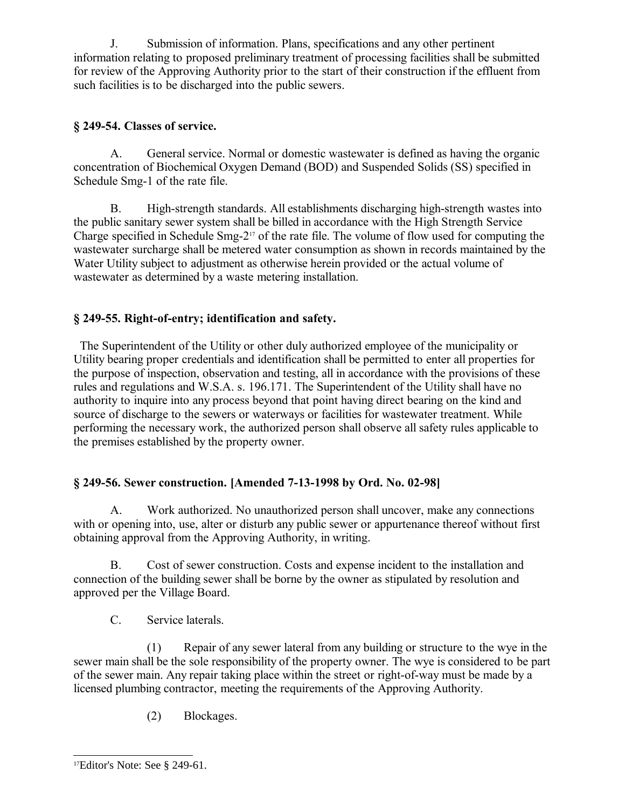J. Submission of information. Plans, specifications and any other pertinent information relating to proposed preliminary treatment of processing facilities shall be submitted for review of the Approving Authority prior to the start of their construction if the effluent from such facilities is to be discharged into the public sewers.

## **§ 249-54. Classes of service.**

A. General service. Normal or domestic wastewater is defined as having the organic concentration of Biochemical Oxygen Demand (BOD) and Suspended Solids (SS) specified in Schedule Smg-1 of the rate file.

B. High-strength standards. All establishments discharging high-strength wastes into the public sanitary sewer system shall be billed in accordance with the High Strength Service Charge specified in Schedule Smg-2[17](#page-24-0) of the rate file. The volume of flow used for computing the wastewater surcharge shall be metered water consumption as shown in records maintained by the Water Utility subject to adjustment as otherwise herein provided or the actual volume of wastewater as determined by a waste metering installation.

# **§ 249-55. Right-of-entry; identification and safety.**

 The Superintendent of the Utility or other duly authorized employee of the municipality or Utility bearing proper credentials and identification shall be permitted to enter all properties for the purpose of inspection, observation and testing, all in accordance with the provisions of these rules and regulations and W.S.A. s. 196.171. The Superintendent of the Utility shall have no authority to inquire into any process beyond that point having direct bearing on the kind and source of discharge to the sewers or waterways or facilities for wastewater treatment. While performing the necessary work, the authorized person shall observe all safety rules applicable to the premises established by the property owner.

# **§ 249-56. Sewer construction. [Amended 7-13-1998 by Ord. No. 02-98]**

A. Work authorized. No unauthorized person shall uncover, make any connections with or opening into, use, alter or disturb any public sewer or appurtenance thereof without first obtaining approval from the Approving Authority, in writing.

B. Cost of sewer construction. Costs and expense incident to the installation and connection of the building sewer shall be borne by the owner as stipulated by resolution and approved per the Village Board.

C. Service laterals.

(1) Repair of any sewer lateral from any building or structure to the wye in the sewer main shall be the sole responsibility of the property owner. The wye is considered to be part of the sewer main. Any repair taking place within the street or right-of-way must be made by a licensed plumbing contractor, meeting the requirements of the Approving Authority.

(2) Blockages.

<span id="page-24-0"></span><sup>17</sup>Editor's Note: See § 249-61.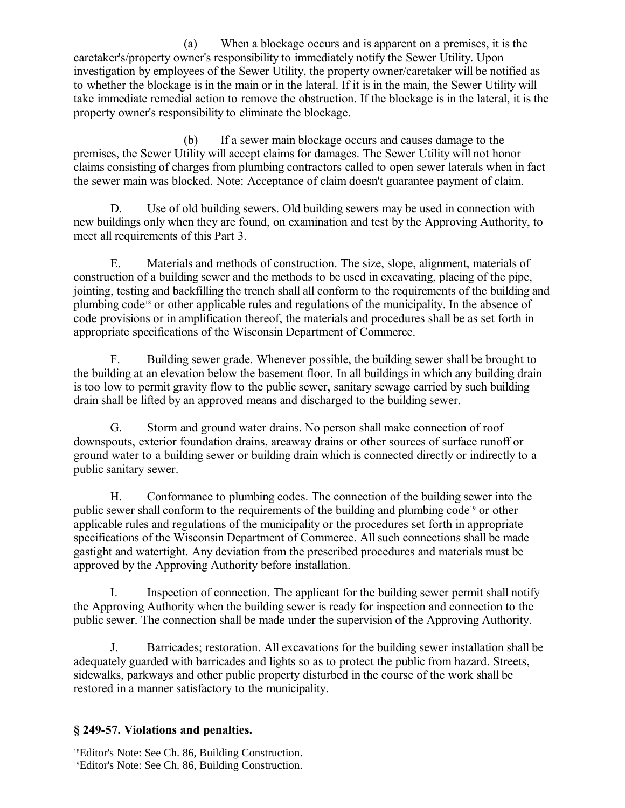(a) When a blockage occurs and is apparent on a premises, it is the caretaker's/property owner's responsibility to immediately notify the Sewer Utility. Upon investigation by employees of the Sewer Utility, the property owner/caretaker will be notified as to whether the blockage is in the main or in the lateral. If it is in the main, the Sewer Utility will take immediate remedial action to remove the obstruction. If the blockage is in the lateral, it is the property owner's responsibility to eliminate the blockage.

(b) If a sewer main blockage occurs and causes damage to the premises, the Sewer Utility will accept claims for damages. The Sewer Utility will not honor claims consisting of charges from plumbing contractors called to open sewer laterals when in fact the sewer main was blocked. Note: Acceptance of claim doesn't guarantee payment of claim.

D. Use of old building sewers. Old building sewers may be used in connection with new buildings only when they are found, on examination and test by the Approving Authority, to meet all requirements of this Part 3.

E. Materials and methods of construction. The size, slope, alignment, materials of construction of a building sewer and the methods to be used in excavating, placing of the pipe, jointing, testing and backfilling the trench shall all conform to the requirements of the building and plumbing code[18](#page-25-0) or other applicable rules and regulations of the municipality. In the absence of code provisions or in amplification thereof, the materials and procedures shall be as set forth in appropriate specifications of the Wisconsin Department of Commerce.

F. Building sewer grade. Whenever possible, the building sewer shall be brought to the building at an elevation below the basement floor. In all buildings in which any building drain is too low to permit gravity flow to the public sewer, sanitary sewage carried by such building drain shall be lifted by an approved means and discharged to the building sewer.

G. Storm and ground water drains. No person shall make connection of roof downspouts, exterior foundation drains, areaway drains or other sources of surface runoff or ground water to a building sewer or building drain which is connected directly or indirectly to a public sanitary sewer.

H. Conformance to plumbing codes. The connection of the building sewer into the public sewer shall conform to the requirements of the building and plumbing code[19](#page-25-1) or other applicable rules and regulations of the municipality or the procedures set forth in appropriate specifications of the Wisconsin Department of Commerce. All such connections shall be made gastight and watertight. Any deviation from the prescribed procedures and materials must be approved by the Approving Authority before installation.

I. Inspection of connection. The applicant for the building sewer permit shall notify the Approving Authority when the building sewer is ready for inspection and connection to the public sewer. The connection shall be made under the supervision of the Approving Authority.

J. Barricades; restoration. All excavations for the building sewer installation shall be adequately guarded with barricades and lights so as to protect the public from hazard. Streets, sidewalks, parkways and other public property disturbed in the course of the work shall be restored in a manner satisfactory to the municipality.

## **§ 249-57. Violations and penalties.**

<span id="page-25-0"></span><sup>18</sup>Editor's Note: See Ch. 86, Building Construction.

<span id="page-25-1"></span><sup>19</sup>Editor's Note: See Ch. 86, Building Construction.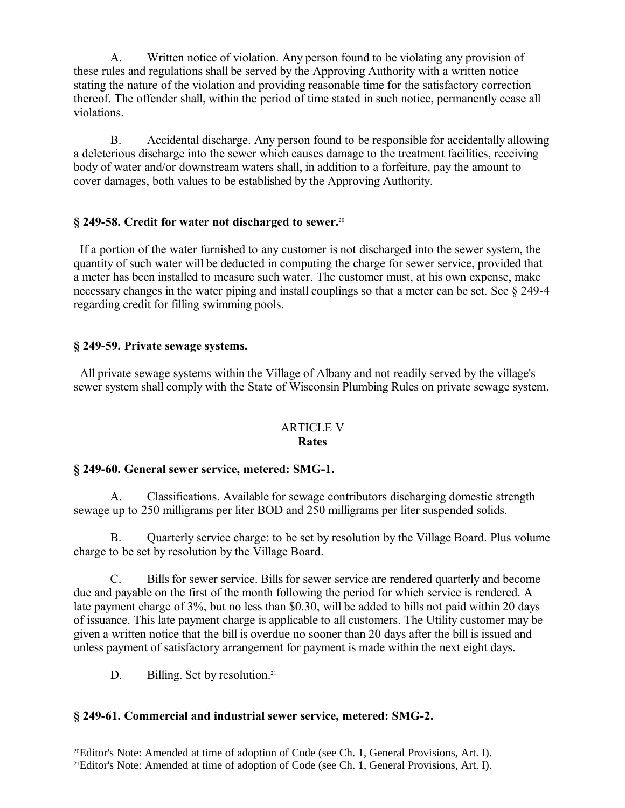A. Written notice of violation. Any person found to be violating any provision of these rules and regulations shall be served by the Approving Authority with a written notice stating the nature of the violation and providing reasonable time for the satisfactory correction thereof. The offender shall, within the period of time stated in such notice, permanently cease all violations.

B. Accidental discharge. Any person found to be responsible for accidentally allowing a deleterious discharge into the sewer which causes damage to the treatment facilities, receiving body of water and/or downstream waters shall, in addition to a forfeiture, pay the amount to cover damages, both values to be established by the Approving Authority.

### **§ 249-58. Credit for water not discharged to sewer.**[20](#page-26-0)

 If a portion of the water furnished to any customer is not discharged into the sewer system, the quantity of such water will be deducted in computing the charge for sewer service, provided that a meter has been installed to measure such water. The customer must, at his own expense, make necessary changes in the water piping and install couplings so that a meter can be set. See § 249-4 regarding credit for filling swimming pools.

#### **§ 249-59. Private sewage systems.**

 All private sewage systems within the Village of Albany and not readily served by the village's sewer system shall comply with the State of Wisconsin Plumbing Rules on private sewage system.

#### ARTICLE V **Rates**

#### **§ 249-60. General sewer service, metered: SMG-1.**

A. Classifications. Available for sewage contributors discharging domestic strength sewage up to 250 milligrams per liter BOD and 250 milligrams per liter suspended solids.

B. Quarterly service charge: to be set by resolution by the Village Board. Plus volume charge to be set by resolution by the Village Board.

C. Bills for sewer service. Bills for sewer service are rendered quarterly and become due and payable on the first of the month following the period for which service is rendered. A late payment charge of 3%, but no less than \$0.30, will be added to bills not paid within 20 days of issuance. This late payment charge is applicable to all customers. The Utility customer may be given a written notice that the bill is overdue no sooner than 20 days after the bill is issued and unless payment of satisfactory arrangement for payment is made within the next eight days.

D. Billing. Set by resolution.<sup>[21](#page-26-1)</sup>

## **§ 249-61. Commercial and industrial sewer service, metered: SMG-2.**

<span id="page-26-0"></span><sup>20</sup>Editor's Note: Amended at time of adoption of Code (see Ch. 1, General Provisions, Art. I).

<span id="page-26-1"></span><sup>21</sup>Editor's Note: Amended at time of adoption of Code (see Ch. 1, General Provisions, Art. I).